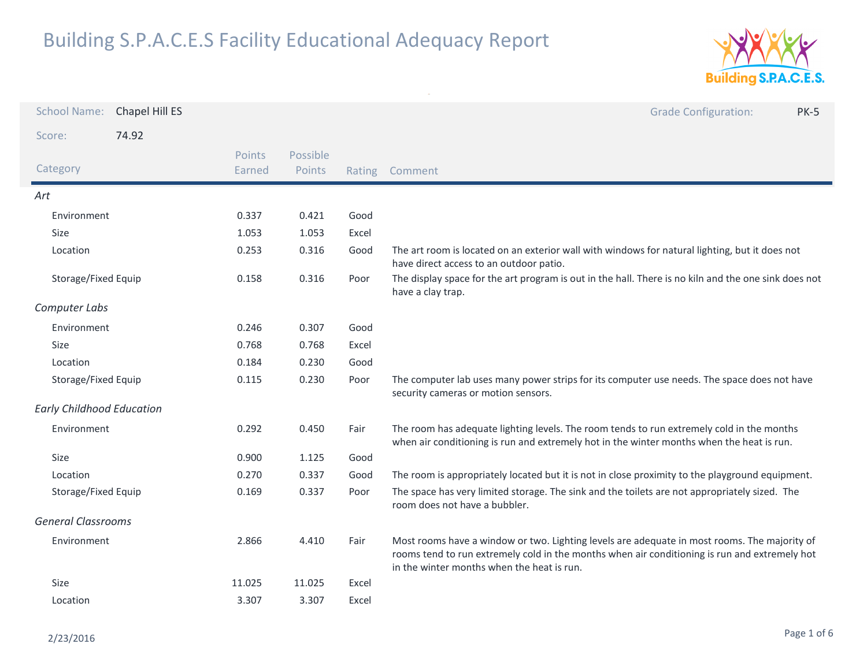

| <b>School Name:</b>              | Chapel Hill ES |                  |                    |       | <b>Grade Configuration:</b><br><b>PK-5</b>                                                                                                                                                                                                  |
|----------------------------------|----------------|------------------|--------------------|-------|---------------------------------------------------------------------------------------------------------------------------------------------------------------------------------------------------------------------------------------------|
| Score:                           | 74.92          |                  |                    |       |                                                                                                                                                                                                                                             |
| Category                         |                | Points<br>Earned | Possible<br>Points |       | Rating Comment                                                                                                                                                                                                                              |
| Art                              |                |                  |                    |       |                                                                                                                                                                                                                                             |
| Environment                      |                | 0.337            | 0.421              | Good  |                                                                                                                                                                                                                                             |
| Size                             |                | 1.053            | 1.053              | Excel |                                                                                                                                                                                                                                             |
| Location                         |                | 0.253            | 0.316              | Good  | The art room is located on an exterior wall with windows for natural lighting, but it does not<br>have direct access to an outdoor patio.                                                                                                   |
| Storage/Fixed Equip              |                | 0.158            | 0.316              | Poor  | The display space for the art program is out in the hall. There is no kiln and the one sink does not<br>have a clay trap.                                                                                                                   |
| Computer Labs                    |                |                  |                    |       |                                                                                                                                                                                                                                             |
| Environment                      |                | 0.246            | 0.307              | Good  |                                                                                                                                                                                                                                             |
| Size                             |                | 0.768            | 0.768              | Excel |                                                                                                                                                                                                                                             |
| Location                         |                | 0.184            | 0.230              | Good  |                                                                                                                                                                                                                                             |
| Storage/Fixed Equip              |                | 0.115            | 0.230              | Poor  | The computer lab uses many power strips for its computer use needs. The space does not have<br>security cameras or motion sensors.                                                                                                          |
| <b>Early Childhood Education</b> |                |                  |                    |       |                                                                                                                                                                                                                                             |
| Environment                      |                | 0.292            | 0.450              | Fair  | The room has adequate lighting levels. The room tends to run extremely cold in the months<br>when air conditioning is run and extremely hot in the winter months when the heat is run.                                                      |
| Size                             |                | 0.900            | 1.125              | Good  |                                                                                                                                                                                                                                             |
| Location                         |                | 0.270            | 0.337              | Good  | The room is appropriately located but it is not in close proximity to the playground equipment.                                                                                                                                             |
| Storage/Fixed Equip              |                | 0.169            | 0.337              | Poor  | The space has very limited storage. The sink and the toilets are not appropriately sized. The<br>room does not have a bubbler.                                                                                                              |
| <b>General Classrooms</b>        |                |                  |                    |       |                                                                                                                                                                                                                                             |
| Environment                      |                | 2.866            | 4.410              | Fair  | Most rooms have a window or two. Lighting levels are adequate in most rooms. The majority of<br>rooms tend to run extremely cold in the months when air conditioning is run and extremely hot<br>in the winter months when the heat is run. |
| Size                             |                | 11.025           | 11.025             | Excel |                                                                                                                                                                                                                                             |
| Location                         |                | 3.307            | 3.307              | Excel |                                                                                                                                                                                                                                             |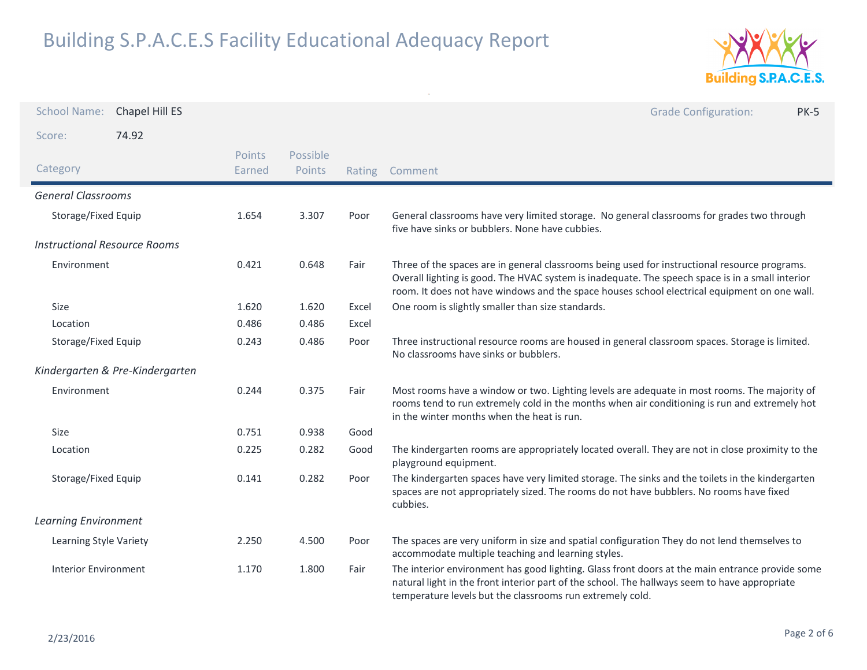

| <b>School Name:</b>                 | Chapel Hill ES                  |                  |                    |        | <b>Grade Configuration:</b><br><b>PK-5</b>                                                                                                                                                                                                                                                        |
|-------------------------------------|---------------------------------|------------------|--------------------|--------|---------------------------------------------------------------------------------------------------------------------------------------------------------------------------------------------------------------------------------------------------------------------------------------------------|
| Score:                              | 74.92                           |                  |                    |        |                                                                                                                                                                                                                                                                                                   |
| Category                            |                                 | Points<br>Earned | Possible<br>Points | Rating | Comment                                                                                                                                                                                                                                                                                           |
| <b>General Classrooms</b>           |                                 |                  |                    |        |                                                                                                                                                                                                                                                                                                   |
| Storage/Fixed Equip                 |                                 | 1.654            | 3.307              | Poor   | General classrooms have very limited storage. No general classrooms for grades two through<br>five have sinks or bubblers. None have cubbies.                                                                                                                                                     |
| <b>Instructional Resource Rooms</b> |                                 |                  |                    |        |                                                                                                                                                                                                                                                                                                   |
| Environment                         |                                 | 0.421            | 0.648              | Fair   | Three of the spaces are in general classrooms being used for instructional resource programs.<br>Overall lighting is good. The HVAC system is inadequate. The speech space is in a small interior<br>room. It does not have windows and the space houses school electrical equipment on one wall. |
| Size                                |                                 | 1.620            | 1.620              | Excel  | One room is slightly smaller than size standards.                                                                                                                                                                                                                                                 |
| Location                            |                                 | 0.486            | 0.486              | Excel  |                                                                                                                                                                                                                                                                                                   |
| Storage/Fixed Equip                 |                                 | 0.243            | 0.486              | Poor   | Three instructional resource rooms are housed in general classroom spaces. Storage is limited.<br>No classrooms have sinks or bubblers.                                                                                                                                                           |
|                                     | Kindergarten & Pre-Kindergarten |                  |                    |        |                                                                                                                                                                                                                                                                                                   |
| Environment                         |                                 | 0.244            | 0.375              | Fair   | Most rooms have a window or two. Lighting levels are adequate in most rooms. The majority of<br>rooms tend to run extremely cold in the months when air conditioning is run and extremely hot<br>in the winter months when the heat is run.                                                       |
| Size                                |                                 | 0.751            | 0.938              | Good   |                                                                                                                                                                                                                                                                                                   |
| Location                            |                                 | 0.225            | 0.282              | Good   | The kindergarten rooms are appropriately located overall. They are not in close proximity to the<br>playground equipment.                                                                                                                                                                         |
| Storage/Fixed Equip                 |                                 | 0.141            | 0.282              | Poor   | The kindergarten spaces have very limited storage. The sinks and the toilets in the kindergarten<br>spaces are not appropriately sized. The rooms do not have bubblers. No rooms have fixed<br>cubbies.                                                                                           |
| <b>Learning Environment</b>         |                                 |                  |                    |        |                                                                                                                                                                                                                                                                                                   |
| Learning Style Variety              |                                 | 2.250            | 4.500              | Poor   | The spaces are very uniform in size and spatial configuration They do not lend themselves to<br>accommodate multiple teaching and learning styles.                                                                                                                                                |
| <b>Interior Environment</b>         |                                 | 1.170            | 1.800              | Fair   | The interior environment has good lighting. Glass front doors at the main entrance provide some<br>natural light in the front interior part of the school. The hallways seem to have appropriate<br>temperature levels but the classrooms run extremely cold.                                     |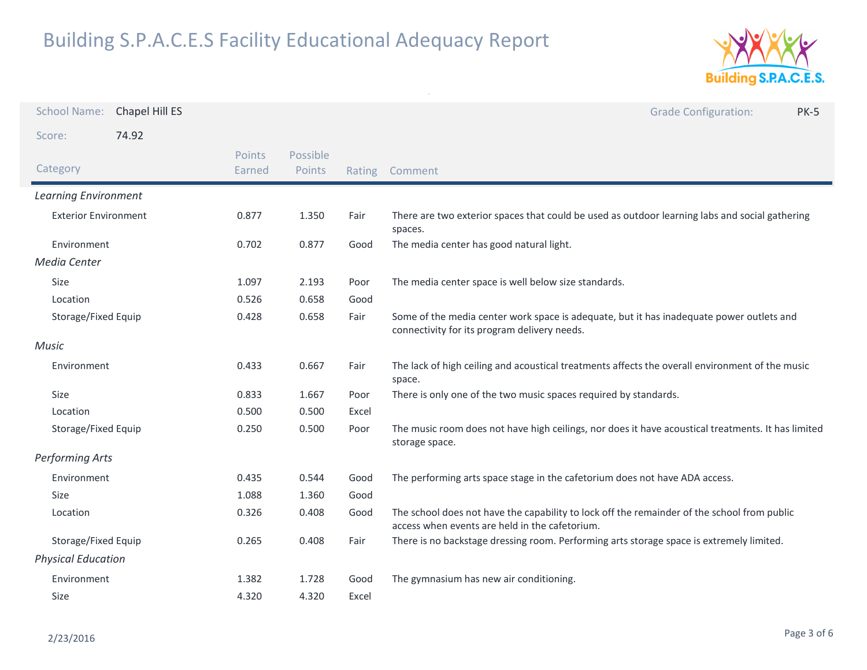

| <b>School Name:</b>         | Chapel Hill ES |                  |                    |        | <b>Grade Configuration:</b><br><b>PK-5</b>                                                                                                    |
|-----------------------------|----------------|------------------|--------------------|--------|-----------------------------------------------------------------------------------------------------------------------------------------------|
| Score:                      | 74.92          |                  |                    |        |                                                                                                                                               |
| Category                    |                | Points<br>Earned | Possible<br>Points | Rating | Comment                                                                                                                                       |
| <b>Learning Environment</b> |                |                  |                    |        |                                                                                                                                               |
| <b>Exterior Environment</b> |                | 0.877            | 1.350              | Fair   | There are two exterior spaces that could be used as outdoor learning labs and social gathering<br>spaces.                                     |
| Environment                 |                | 0.702            | 0.877              | Good   | The media center has good natural light.                                                                                                      |
| Media Center                |                |                  |                    |        |                                                                                                                                               |
| Size                        |                | 1.097            | 2.193              | Poor   | The media center space is well below size standards.                                                                                          |
| Location                    |                | 0.526            | 0.658              | Good   |                                                                                                                                               |
| Storage/Fixed Equip         |                | 0.428            | 0.658              | Fair   | Some of the media center work space is adequate, but it has inadequate power outlets and<br>connectivity for its program delivery needs.      |
| <b>Music</b>                |                |                  |                    |        |                                                                                                                                               |
| Environment                 |                | 0.433            | 0.667              | Fair   | The lack of high ceiling and acoustical treatments affects the overall environment of the music<br>space.                                     |
| Size                        |                | 0.833            | 1.667              | Poor   | There is only one of the two music spaces required by standards.                                                                              |
| Location                    |                | 0.500            | 0.500              | Excel  |                                                                                                                                               |
| Storage/Fixed Equip         |                | 0.250            | 0.500              | Poor   | The music room does not have high ceilings, nor does it have acoustical treatments. It has limited<br>storage space.                          |
| Performing Arts             |                |                  |                    |        |                                                                                                                                               |
| Environment                 |                | 0.435            | 0.544              | Good   | The performing arts space stage in the cafetorium does not have ADA access.                                                                   |
| <b>Size</b>                 |                | 1.088            | 1.360              | Good   |                                                                                                                                               |
| Location                    |                | 0.326            | 0.408              | Good   | The school does not have the capability to lock off the remainder of the school from public<br>access when events are held in the cafetorium. |
| Storage/Fixed Equip         |                | 0.265            | 0.408              | Fair   | There is no backstage dressing room. Performing arts storage space is extremely limited.                                                      |
| <b>Physical Education</b>   |                |                  |                    |        |                                                                                                                                               |
| Environment                 |                | 1.382            | 1.728              | Good   | The gymnasium has new air conditioning.                                                                                                       |
| Size                        |                | 4.320            | 4.320              | Excel  |                                                                                                                                               |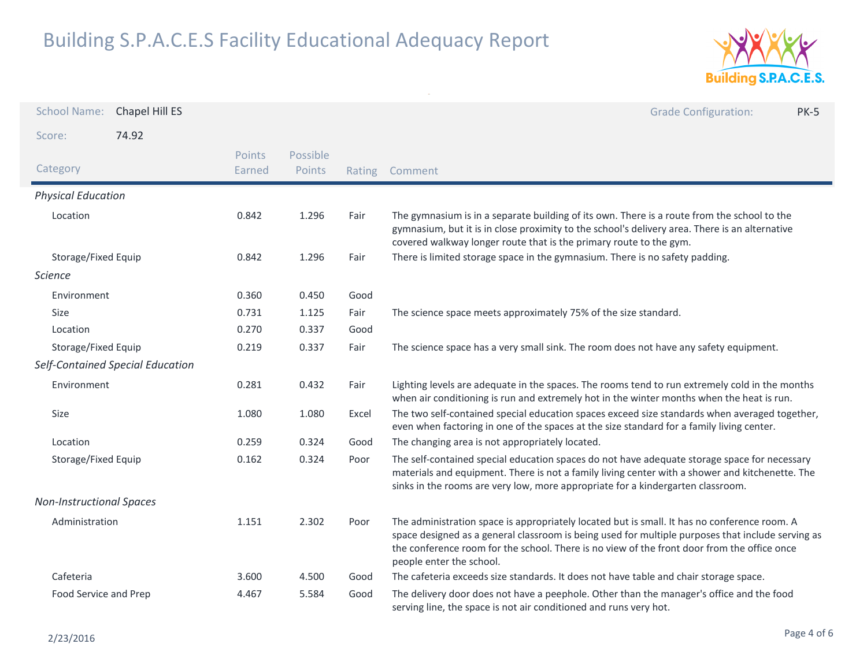

| <b>School Name:</b>              | Chapel Hill ES |                  |                    |        | <b>Grade Configuration:</b><br><b>PK-5</b>                                                                                                                                                                                                                                                                                   |
|----------------------------------|----------------|------------------|--------------------|--------|------------------------------------------------------------------------------------------------------------------------------------------------------------------------------------------------------------------------------------------------------------------------------------------------------------------------------|
| Score:                           | 74.92          |                  |                    |        |                                                                                                                                                                                                                                                                                                                              |
| Category                         |                | Points<br>Earned | Possible<br>Points | Rating | Comment                                                                                                                                                                                                                                                                                                                      |
| <b>Physical Education</b>        |                |                  |                    |        |                                                                                                                                                                                                                                                                                                                              |
| Location                         |                | 0.842            | 1.296              | Fair   | The gymnasium is in a separate building of its own. There is a route from the school to the<br>gymnasium, but it is in close proximity to the school's delivery area. There is an alternative<br>covered walkway longer route that is the primary route to the gym.                                                          |
| Storage/Fixed Equip              |                | 0.842            | 1.296              | Fair   | There is limited storage space in the gymnasium. There is no safety padding.                                                                                                                                                                                                                                                 |
| <b>Science</b>                   |                |                  |                    |        |                                                                                                                                                                                                                                                                                                                              |
| Environment                      |                | 0.360            | 0.450              | Good   |                                                                                                                                                                                                                                                                                                                              |
| Size                             |                | 0.731            | 1.125              | Fair   | The science space meets approximately 75% of the size standard.                                                                                                                                                                                                                                                              |
| Location                         |                | 0.270            | 0.337              | Good   |                                                                                                                                                                                                                                                                                                                              |
| Storage/Fixed Equip              |                | 0.219            | 0.337              | Fair   | The science space has a very small sink. The room does not have any safety equipment.                                                                                                                                                                                                                                        |
| Self-Contained Special Education |                |                  |                    |        |                                                                                                                                                                                                                                                                                                                              |
| Environment                      |                | 0.281            | 0.432              | Fair   | Lighting levels are adequate in the spaces. The rooms tend to run extremely cold in the months<br>when air conditioning is run and extremely hot in the winter months when the heat is run.                                                                                                                                  |
| Size                             |                | 1.080            | 1.080              | Excel  | The two self-contained special education spaces exceed size standards when averaged together,<br>even when factoring in one of the spaces at the size standard for a family living center.                                                                                                                                   |
| Location                         |                | 0.259            | 0.324              | Good   | The changing area is not appropriately located.                                                                                                                                                                                                                                                                              |
| Storage/Fixed Equip              |                | 0.162            | 0.324              | Poor   | The self-contained special education spaces do not have adequate storage space for necessary<br>materials and equipment. There is not a family living center with a shower and kitchenette. The<br>sinks in the rooms are very low, more appropriate for a kindergarten classroom.                                           |
| <b>Non-Instructional Spaces</b>  |                |                  |                    |        |                                                                                                                                                                                                                                                                                                                              |
| Administration                   |                | 1.151            | 2.302              | Poor   | The administration space is appropriately located but is small. It has no conference room. A<br>space designed as a general classroom is being used for multiple purposes that include serving as<br>the conference room for the school. There is no view of the front door from the office once<br>people enter the school. |
| Cafeteria                        |                | 3.600            | 4.500              | Good   | The cafeteria exceeds size standards. It does not have table and chair storage space.                                                                                                                                                                                                                                        |
| Food Service and Prep            |                | 4.467            | 5.584              | Good   | The delivery door does not have a peephole. Other than the manager's office and the food<br>serving line, the space is not air conditioned and runs very hot.                                                                                                                                                                |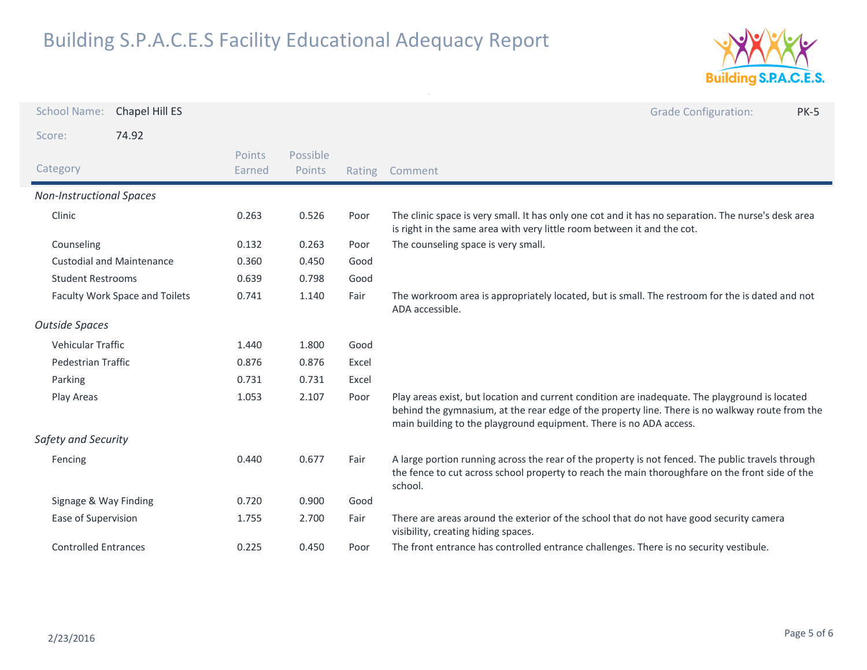

| <b>School Name:</b>             | Chapel Hill ES                   |                  |                    |        | <b>Grade Configuration:</b><br><b>PK-5</b>                                                                                                                                                                                                                              |
|---------------------------------|----------------------------------|------------------|--------------------|--------|-------------------------------------------------------------------------------------------------------------------------------------------------------------------------------------------------------------------------------------------------------------------------|
| Score:                          | 74.92                            |                  |                    |        |                                                                                                                                                                                                                                                                         |
| Category                        |                                  | Points<br>Earned | Possible<br>Points | Rating | Comment                                                                                                                                                                                                                                                                 |
| <b>Non-Instructional Spaces</b> |                                  |                  |                    |        |                                                                                                                                                                                                                                                                         |
| Clinic                          |                                  | 0.263            | 0.526              | Poor   | The clinic space is very small. It has only one cot and it has no separation. The nurse's desk area<br>is right in the same area with very little room between it and the cot.                                                                                          |
| Counseling                      |                                  | 0.132            | 0.263              | Poor   | The counseling space is very small.                                                                                                                                                                                                                                     |
|                                 | <b>Custodial and Maintenance</b> | 0.360            | 0.450              | Good   |                                                                                                                                                                                                                                                                         |
| <b>Student Restrooms</b>        |                                  | 0.639            | 0.798              | Good   |                                                                                                                                                                                                                                                                         |
| Faculty Work Space and Toilets  |                                  | 0.741            | 1.140              | Fair   | The workroom area is appropriately located, but is small. The restroom for the is dated and not<br>ADA accessible.                                                                                                                                                      |
| <b>Outside Spaces</b>           |                                  |                  |                    |        |                                                                                                                                                                                                                                                                         |
| <b>Vehicular Traffic</b>        |                                  | 1.440            | 1.800              | Good   |                                                                                                                                                                                                                                                                         |
| Pedestrian Traffic              |                                  | 0.876            | 0.876              | Excel  |                                                                                                                                                                                                                                                                         |
| Parking                         |                                  | 0.731            | 0.731              | Excel  |                                                                                                                                                                                                                                                                         |
| Play Areas                      |                                  | 1.053            | 2.107              | Poor   | Play areas exist, but location and current condition are inadequate. The playground is located<br>behind the gymnasium, at the rear edge of the property line. There is no walkway route from the<br>main building to the playground equipment. There is no ADA access. |
| Safety and Security             |                                  |                  |                    |        |                                                                                                                                                                                                                                                                         |
| Fencing                         |                                  | 0.440            | 0.677              | Fair   | A large portion running across the rear of the property is not fenced. The public travels through<br>the fence to cut across school property to reach the main thoroughfare on the front side of the<br>school.                                                         |
| Signage & Way Finding           |                                  | 0.720            | 0.900              | Good   |                                                                                                                                                                                                                                                                         |
| Ease of Supervision             |                                  | 1.755            | 2.700              | Fair   | There are areas around the exterior of the school that do not have good security camera<br>visibility, creating hiding spaces.                                                                                                                                          |
| <b>Controlled Entrances</b>     |                                  | 0.225            | 0.450              | Poor   | The front entrance has controlled entrance challenges. There is no security vestibule.                                                                                                                                                                                  |